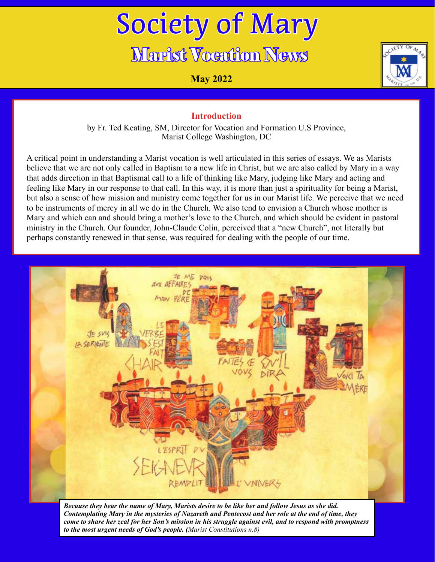# Society of Mary Marist Vocation News

**May 2022**



#### **Introduction**

by Fr. Ted Keating, SM, Director for Vocation and Formation U.S Province, Marist College Washington, DC

A critical point in understanding a Marist vocation is well articulated in this series of essays. We as Marists believe that we are not only called in Baptism to a new life in Christ, but we are also called by Mary in a way that adds direction in that Baptismal call to a life of thinking like Mary, judging like Mary and acting and feeling like Mary in our response to that call. In this way, it is more than just a spirituality for being a Marist, but also a sense of how mission and ministry come together for us in our Marist life. We perceive that we need to be instruments of mercy in all we do in the Church. We also tend to envision a Church whose mother is Mary and which can and should bring a mother's love to the Church, and which should be evident in pastoral ministry in the Church. Our founder, John-Claude Colin, perceived that a "new Church", not literally but perhaps constantly renewed in that sense, was required for dealing with the people of our time.



*Because they bear the name of Mary, Marists desire to be like her and follow Jesus as she did. Contemplating Mary in the mysteries of Nazareth and Pentecost and her role at the end of time, they come to share her zeal for her Son's mission in his struggle against evil, and to respond with promptness to the most urgent needs of God's people. (Marist Constitutions n.8)*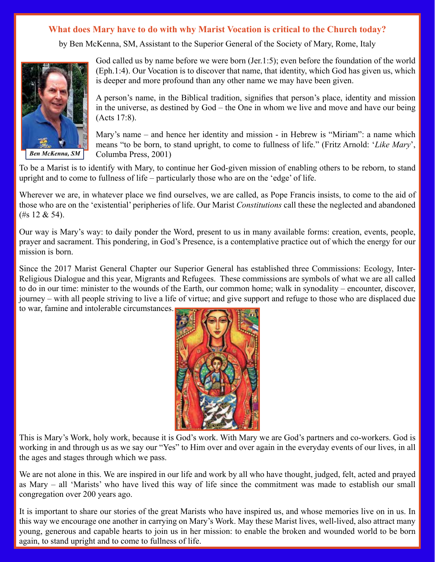by Ben McKenna, SM, Assistant to the Superior General of the Society of Mary, Rome, Italy



*Ben McKenna, SM*

God called us by name before we were born (Jer.1:5); even before the foundation of the world (Eph.1:4). Our Vocation is to discover that name, that identity, which God has given us, which is deeper and more profound than any other name we may have been given.

A person's name, in the Biblical tradition, signifies that person's place, identity and mission in the universe, as destined by God – the One in whom we live and move and have our being (Acts 17:8).

Mary's name – and hence her identity and mission - in Hebrew is "Miriam": a name which means "to be born, to stand upright, to come to fullness of life." (Fritz Arnold: '*Like Mary*', Columba Press, 2001)

To be a Marist is to identify with Mary, to continue her God-given mission of enabling others to be reborn, to stand upright and to come to fullness of life – particularly those who are on the 'edge' of life.

Wherever we are, in whatever place we find ourselves, we are called, as Pope Francis insists, to come to the aid of those who are on the 'existential' peripheries of life. Our Marist *Constitutions* call these the neglected and abandoned (#s 12 & 54).

Our way is Mary's way: to daily ponder the Word, present to us in many available forms: creation, events, people, prayer and sacrament. This pondering, in God's Presence, is a contemplative practice out of which the energy for our mission is born.

Since the 2017 Marist General Chapter our Superior General has established three Commissions: Ecology, Inter-Religious Dialogue and this year, Migrants and Refugees. These commissions are symbols of what we are all called to do in our time: minister to the wounds of the Earth, our common home; walk in synodality – encounter, discover, journey – with all people striving to live a life of virtue; and give support and refuge to those who are displaced due to war, famine and intolerable circumstances.



This is Mary's Work, holy work, because it is God's work. With Mary we are God's partners and co-workers. God is working in and through us as we say our "Yes" to Him over and over again in the everyday events of our lives, in all the ages and stages through which we pass.

We are not alone in this. We are inspired in our life and work by all who have thought, judged, felt, acted and prayed as Mary – all 'Marists' who have lived this way of life since the commitment was made to establish our small congregation over 200 years ago.

It is important to share our stories of the great Marists who have inspired us, and whose memories live on in us. In this way we encourage one another in carrying on Mary's Work. May these Marist lives, well-lived, also attract many young, generous and capable hearts to join us in her mission: to enable the broken and wounded world to be born again, to stand upright and to come to fullness of life.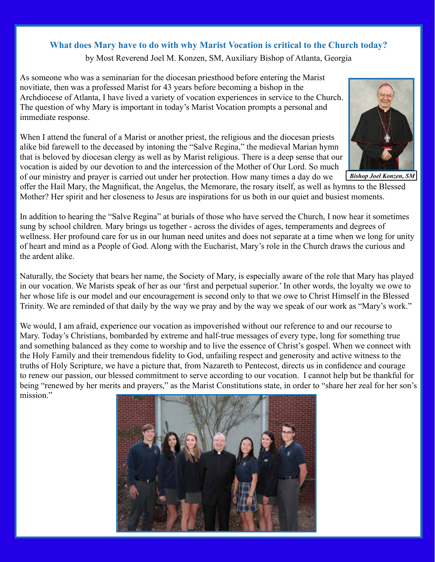by Most Reverend Joel M. Konzen, SM, Auxiliary Bishop of Atlanta, Georgia

As someone who was a seminarian for the diocesan priesthood before entering the Marist novitiate, then was a professed Marist for 43 years before becoming a bishop in the Archdiocese of Atlanta, I have lived a variety of vocation experiences in service to the Church. The question of why Mary is important in today's Marist Vocation prompts a personal and immediate response.

When I attend the funeral of a Marist or another priest, the religious and the diocesan priests alike bid farewell to the deceased by intoning the "Salve Regina," the medieval Marian hymn that is beloved by diocesan clergy as well as by Marist religious. There is a deep sense that our vocation is aided by our devotion to and the intercession of the Mother of Our Lord. So much of our ministry and prayer is carried out under her protection. How many times a day do we



*Bishop Joel Konzen, SM*

offer the Hail Mary, the Magnificat, the Angelus, the Memorare, the rosary itself, as well as hymns to the Blessed Mother? Her spirit and her closeness to Jesus are inspirations for us both in our quiet and busiest moments.

In addition to hearing the "Salve Regina" at burials of those who have served the Church, I now hear it sometimes sung by school children. Mary brings us together - across the divides of ages, temperaments and degrees of wellness. Her profound care for us in our human need unites and does not separate at a time when we long for unity of heart and mind as a People of God. Along with the Eucharist, Mary's role in the Church draws the curious and the ardent alike.

Naturally, the Society that bears her name, the Society of Mary, is especially aware of the role that Mary has played in our vocation. We Marists speak of her as our 'first and perpetual superior.' In other words, the loyalty we owe to her whose life is our model and our encouragement is second only to that we owe to Christ Himself in the Blessed Trinity. We are reminded of that daily by the way we pray and by the way we speak of our work as "Mary's work."

We would, I am afraid, experience our vocation as impoverished without our reference to and our recourse to Mary. Today's Christians, bombarded by extreme and half-true messages of every type, long for something true and something balanced as they come to worship and to live the essence of Christ's gospel. When we connect with the Holy Family and their tremendous fidelity to God, unfailing respect and generosity and active witness to the truths of Holy Scripture, we have a picture that, from Nazareth to Pentecost, directs us in confidence and courage to renew our passion, our blessed commitment to serve according to our vocation. I cannot help but be thankful for being "renewed by her merits and prayers," as the Marist Constitutions state, in order to "share her zeal for her son's mission."

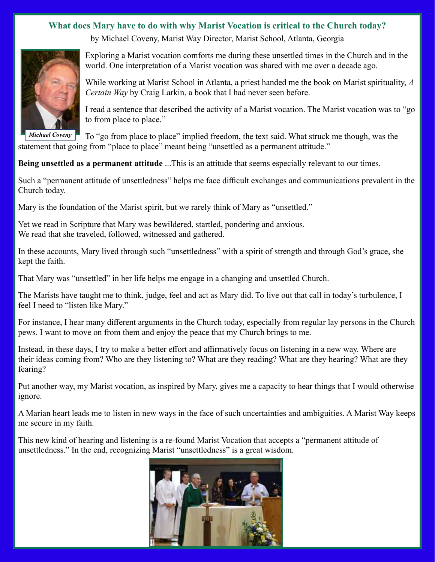by Michael Coveny, Marist Way Director, Marist School, Atlanta, Georgia



*Michael Coveny*

Exploring a Marist vocation comforts me during these unsettled times in the Church and in the world. One interpretation of a Marist vocation was shared with me over a decade ago.

While working at Marist School in Atlanta, a priest handed me the book on Marist spirituality, *A Certain Way* by Craig Larkin, a book that I had never seen before.

I read a sentence that described the activity of a Marist vocation. The Marist vocation was to "go to from place to place."

To "go from place to place" implied freedom, the text said. What struck me though, was the statement that going from "place to place" meant being "unsettled as a permanent attitude."

#### **Being unsettled as a permanent attitude** ...This is an attitude that seems especially relevant to our times.

Such a "permanent attitude of unsettledness" helps me face difficult exchanges and communications prevalent in the Church today.

Mary is the foundation of the Marist spirit, but we rarely think of Mary as "unsettled."

Yet we read in Scripture that Mary was bewildered, startled, pondering and anxious. We read that she traveled, followed, witnessed and gathered.

In these accounts, Mary lived through such "unsettledness" with a spirit of strength and through God's grace, she kept the faith.

That Mary was "unsettled" in her life helps me engage in a changing and unsettled Church.

The Marists have taught me to think, judge, feel and act as Mary did. To live out that call in today's turbulence, I feel I need to "listen like Mary."

For instance, I hear many different arguments in the Church today, especially from regular lay persons in the Church pews. I want to move on from them and enjoy the peace that my Church brings to me.

Instead, in these days, I try to make a better effort and affirmatively focus on listening in a new way. Where are their ideas coming from? Who are they listening to? What are they reading? What are they hearing? What are they fearing?

Put another way, my Marist vocation, as inspired by Mary, gives me a capacity to hear things that I would otherwise ignore.

A Marian heart leads me to listen in new ways in the face of such uncertainties and ambiguities. A Marist Way keeps me secure in my faith.

This new kind of hearing and listening is a re-found Marist Vocation that accepts a "permanent attitude of unsettledness." In the end, recognizing Marist "unsettledness" is a great wisdom.

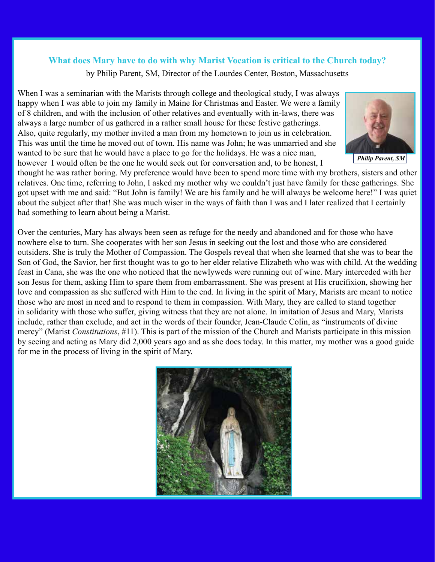by Philip Parent, SM, Director of the Lourdes Center, Boston, Massachusetts

When I was a seminarian with the Marists through college and theological study, I was always happy when I was able to join my family in Maine for Christmas and Easter. We were a family of 8 children, and with the inclusion of other relatives and eventually with in-laws, there was always a large number of us gathered in a rather small house for these festive gatherings. Also, quite regularly, my mother invited a man from my hometown to join us in celebration. This was until the time he moved out of town. His name was John; he was unmarried and she wanted to be sure that he would have a place to go for the holidays. He was a nice man, however I would often be the one he would seek out for conversation and, to be honest, I



*Philip Parent, SM*

thought he was rather boring. My preference would have been to spend more time with my brothers, sisters and other relatives. One time, referring to John, I asked my mother why we couldn't just have family for these gatherings. She got upset with me and said: "But John is family! We are his family and he will always be welcome here!" I was quiet about the subject after that! She was much wiser in the ways of faith than I was and I later realized that I certainly had something to learn about being a Marist.

Over the centuries, Mary has always been seen as refuge for the needy and abandoned and for those who have nowhere else to turn. She cooperates with her son Jesus in seeking out the lost and those who are considered outsiders. She is truly the Mother of Compassion. The Gospels reveal that when she learned that she was to bear the Son of God, the Savior, her first thought was to go to her elder relative Elizabeth who was with child. At the wedding feast in Cana, she was the one who noticed that the newlyweds were running out of wine. Mary interceded with her son Jesus for them, asking Him to spare them from embarrassment. She was present at His crucifixion, showing her love and compassion as she suffered with Him to the end. In living in the spirit of Mary, Marists are meant to notice those who are most in need and to respond to them in compassion. With Mary, they are called to stand together in solidarity with those who suffer, giving witness that they are not alone. In imitation of Jesus and Mary, Marists include, rather than exclude, and act in the words of their founder, Jean-Claude Colin, as "instruments of divine mercy" (Marist *Constitutions*, #11). This is part of the mission of the Church and Marists participate in this mission by seeing and acting as Mary did 2,000 years ago and as she does today. In this matter, my mother was a good guide for me in the process of living in the spirit of Mary.

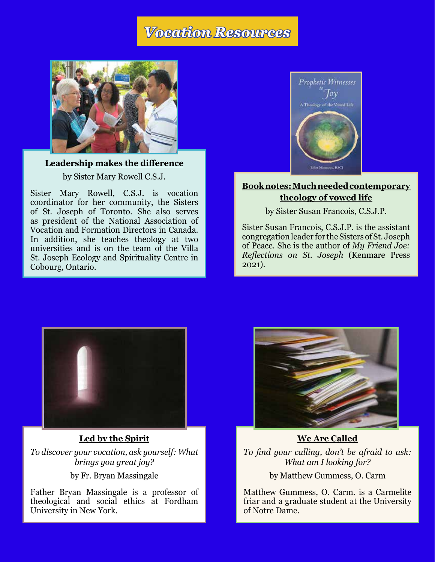## *Vocation Resources*



**[Leadership makes the difference](https://www.societyofmaryusa.org/content/uploads/2022/05/Leadership-makes-the-difference-_-NRVC.pdf )**

by Sister Mary Rowell C.S.J.

Sister Mary Rowell, C.S.J. is vocation coordinator for her community, the Sisters of St. Joseph of Toronto. She also serves as president of the National Association of Vocation and Formation Directors in Canada. In addition, she teaches theology at two universities and is on the team of the Villa St. Joseph Ecology and Spirituality Centre in Cobourg, Ontario.



#### **[Book notes: Much needed contemporary](https://www.societyofmaryusa.org/content/uploads/2022/05/Book-notes_-Much-needed-contemporary-theology-of-vowed-life-_-NRVC.pdf)  [theology of vowed life](https://www.societyofmaryusa.org/content/uploads/2022/05/Book-notes_-Much-needed-contemporary-theology-of-vowed-life-_-NRVC.pdf)**

by Sister Susan Francois, C.S.J.P.

Sister Susan Francois, C.S.J.P. is the assistant congregation leader for the Sisters of St. Joseph of Peace. She is the author of *My Friend Joe: Reflections on St. Joseph* (Kenmare Press 2021).



#### **[Led by the Spirit](https://www.societyofmaryusa.org/content/uploads/2022/05/Led-by-the-Spirit.pdf)**

*To discover your vocation, ask yourself: What brings you great joy?* by Fr. Bryan Massingale

Father Bryan Massingale is a professor of theological and social ethics at Fordham University in New York.



**[We Are Called](https://www.societyofmaryusa.org/content/uploads/2022/05/We-Are-Called.pdf)** *To find your calling, don't be afraid to ask: What am I looking for?*

by Matthew Gummess, O. Carm

Matthew Gummess, O. Carm. is a Carmelite friar and a graduate student at the University of Notre Dame.